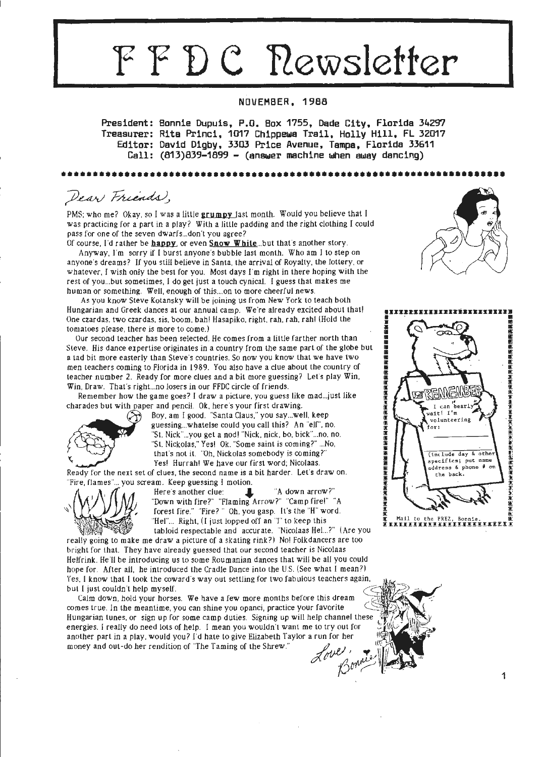# **FFDC Newsletter**

# **NOVEMBER, 1988**

**President: Bonnie Dupuis, P.O. Box 1755, Dade City, Florida 34297**  Treasurer: Rita Princi, 1017 Chippewa Trail, Holly Hill, FL 32017 **Editor: David Digby, 3303 Price Avenue, Tampa, Florida 33611 Call: (813)839-1899 - (anBbler machine when away dancing)** 

••••••••••••••••••••••••••••••••••••••••••••••••••••••••••••••••••••••

Dear Friends,

PMS: who me? Okay, so I was **a** little **grumpy** last month. Would you believe that I was practicing for a part in a play? With a little padding and the right clothing I could pass for one of the seven dwarfs... don't you agree?

Of course, I'd rather be **happy** or even **Snow White** ... but that's another story. Anyway, I'm sorry if I burst anyone's bubble last month. Who am I to step on anyone's dreams? If you still believe in Santa, the arrival of Roy alty, the lottery, or whatever, I wish only the best for you. Most days I'm right in there hoping with the rest of you ... but sometimes, I do get just a touch cynical. I guess that makes me human or something. Well, enough of this .... on to more cheerful news.

As you know Steve Kolansky will be joining us from New York to teach both Hungarian and Greek dances at our annual camp. We're already excited about that! One czardas. two czardas. sis, boom. bah! Hasapiko. right, rah, rah. rah! (Hold the tomatoes please, there is more to come.)

Our second teacher has been selected. He comes from a little farther north than Steve. His dance expertise originates in a country from the same part of the globe but a tad bit more easterly than Steve's countries. So now you know that we have two men teachers coming to Florida in l 989. You also have a clue about the country of teacher number 2. Ready for more clues and a bit more guessing? Let's play Win. Win, Draw. That's right...no losers in our FFDC circle of friends.

Remember how the game goes? I draw a picture, you guess like mad... just like charades but with paper and pencil. Ok, here's your first drawing.



Boy, am I good. "Santa Claus," you say ... well, keep guessing...whatelse could you call this? An "elf", no. "St. Nick" ... you get a nod! ""Nick. nick. bo. bick" ... no. no. "St. Nickolas," Yes! Ok. "Some saint is coming?" ... No, that"s not it. "Oh, Nickolas somebody is coming?" Yes! Hurrah! We have our first word; Nicolaas.

Ready for the next set of clues, the second name is a bit harder. Let's draw on. "Fire, flames" ... you scream. Keep guessing I motion.



Here's another clue: **I, we are all all in the lines of the set of the lines of the lines of the lines of the lines of the lines of the lines of the lines of the lines of the lines of the lines of the lines of the lines of** "Down with fire?" "Flaming Arrow?" "Camp fire!" "A forest fire." "Fire?" Oh, you gasp. It's the "H" word. "Hel"... Right, (I just lopped off an "I" to keep this tabloid respectable and accurate. "Nicolaas Hel...?" (Are you

really going to make me draw a picture of a skating rink?) No! Folkdancers are too bright for that. They have already guessed that our second teacher is Nicolaas Helfrink. He'll be introducing us to some Roumanian dances that will be all you could hope for. After all, he introduced the Cradle Dance into the U.S. (See what I mean?) Yes. I know that I took the coward's way out settling for two fabulous teachers again, but I just couldn 't he lp myself . ,<br>( S)

Calm down, hold your horses. We have a few more months before this dream comes true. In the meantime, you can shine you opanci, practice your favorite Hungarian tunes, or sign up for some camp duties. Signing up will help channel these energies. I really do need lots of help. I mean you wouldn't want me to try out for another part in a play, would you? I'd hate to give Elizabeth Taylor a run for her  $\bigoplus_{i \in \mathbb{N}} \bigoplus_{i \in \mathbb{N}} \bigoplus_{i \in \mathbb{N}} \bigoplus_{i \in \mathbb{N}} \bigoplus_{i \in \mathbb{N}} \bigoplus_{i \in \mathbb{N}} \bigoplus_{i \in \mathbb{N}} \bigoplus_{i \in \mathbb{N}} \bigoplus_{i \in \mathbb{N}} \bigoplus_{i \in \mathbb$ Love, moise ( 1 )





~ ;

 $\exists$ .in [f1 ~ ~ ~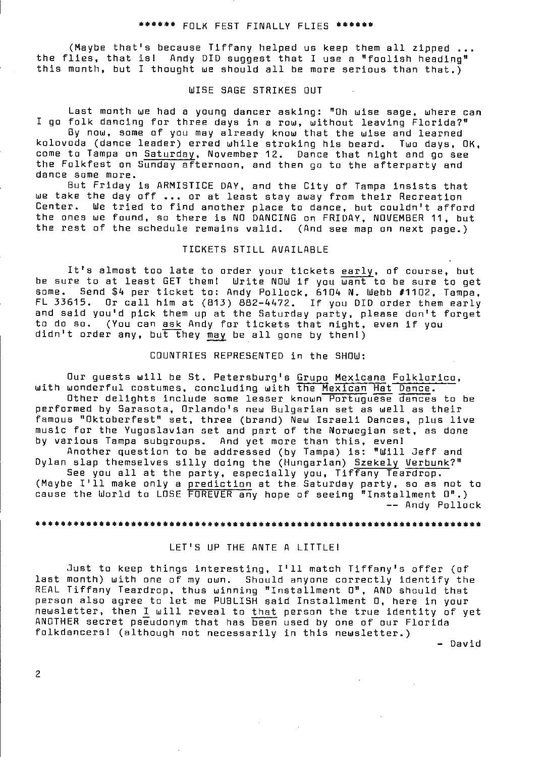#### \*\*\*\*\*\* FOLK FEST FINALLY FLIES \*\*\*\*\*\*

(Maybe that's because Tiffany helped us keep them all zipped ... the flies, that isl Andy DID suggest that I use a "foolish heading" this month, but I thought we should all be more serious than that.)

# WISE SAGE STRIKES OUT

Last month we had a young dancer asking: "Oh wise sage, where can I go folk dancing for three days in a row, without leaving Florida?"

By now, some of you may already know that the wise and learned kolovoda (dance leader) erred while stroking his beard. Two days, OK, come to Tampa on Saturday, November 12. Dance that night and go see the Folkfest on Sunday afternoon, and then go to the afterparty and dance some more.

But Friday is ARMISTICE DAY, and the City of Tampa insists that we take the day off ... or at least stay away from their Recreation Center. We tried to find another place to dance, but couldn't afford the ones we found, so there is NO DANCING on FRIDAY, NOVEMBER 11, but the rest of the schedule remains valid. (And see map on next page.)

#### TICKETS STILL AVAILABLE

It's almost too late to order your tickets early, of course, but to a almost too late to order your tickets <u>early</u>, or course, but the sure to get some. Send \$4 per ticket to: Andy Pollock, 6104 N. Webb #1102, Tampa, FL 33615. Or call him at (813) 882-4472. If you DID order them early and said you'd pick them up at the Saturday party, please don't forget to do so. (You can ask Andy for tickets that night, even if you didn't order any, but they may be all gone by then!)

### COUNTRIES REPRESENTED in the SHOW:

Our guests will be St. Petersburg's Grupo Mexicana Folklorico, with wonderful costumes, concluding with the Mexican Hat Dance. Other delights include some lesser known Portuguese dances to be performed by Sarasota, Orlando's new Bulgarian set as well as their famous "Oktoberfest" set, three (brand) New Israeli Dances, plus live

music for the Yugoslavian set and part of the Norwegian set, as done by various Tampa subgroups. And yet more than this, even! Another question to be addressed (by Tampa) is: "Will Jeff and Dylan slap themselves silly doing the (Hungarian) Szekely Verbunk?" siap themselves silly duing the (nungalian) <u>Szekely verbunn</u><br>See you all at the party, especially you, Tiffany Teardrop. see you all at the party, especially you, Tiffany Teardrop.<br>(Maybe I'll make only a <u>prediction</u> at the Saturday party, so as not to

cause the World to LOSE FOREVER any hope of seeing "Installment O".) -- Andy Pollock

#### 

#### LET'S UP THE ANTE A LITTLE!

Just to keep things interesting, I'll match Tiffany's offer (of last month) with one of my own. Should anyone correctly identify the REAL Tiffany Teardrop, thus winning "Installment O", AND should that person also agree to let me PUBLISH said Installment 0, here in your person also agree to idt me robbion sold installment o, neit in your ANOTHER secret pseudonym that has been used by one of our Florida folkdancersl (although not necessarily in this newsletter.)

- David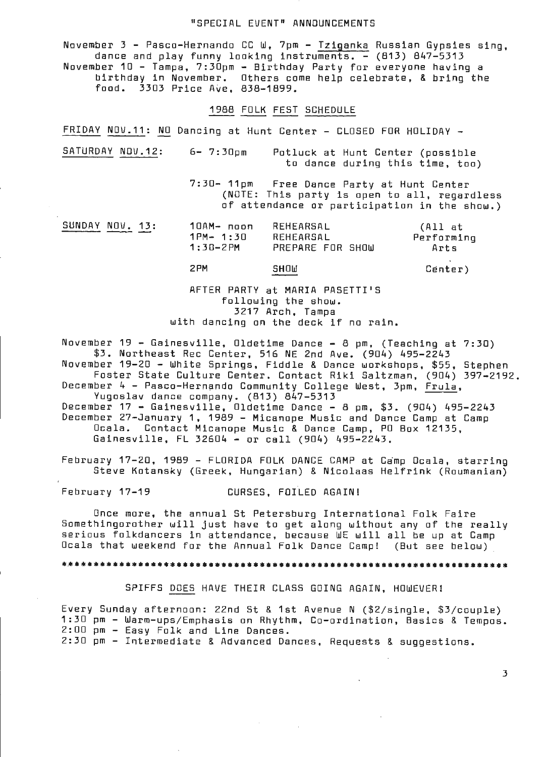# "SPECIAL EVENT" ANNOUNCEMENTS

November 3 - Pasco-Hernando CC W, 7pm - Tziganka Russian Gypsies sing, dance and play funny looking instruments. - (813) 847-5313 November 10 - Tampa, 7:30pm - Birthday Party for everyone having a birthday in November. Others come help celebrate, & bring the food. 3303 Price Ave, 838-1899.

#### 1988 FOLK FEST SCHEDULE

FRIDAY NOV.11: NO Dancing at Hunt Center - CLOSED FOR HOLIDAY -

SATURDAY NOV.12: 6- 7:30pm Potluck at Hunt Center (possible to dance during this time, too)

> 7:30- 11pm Free Dance Party at Hunt Center (NOTE: This party is open to all, regardless of attendance or participation in the show.)

| SUNDAY NOV. 13: | 10AM- noon   | REHEARSAL        | (All at    |
|-----------------|--------------|------------------|------------|
|                 | $1PM - 1:30$ | REHEARSAL        | Performing |
|                 | 1:30-2PM     | PREPARE FOR SHOW | Arts       |
|                 | 2PM          | SHOW             | Center)    |

AFTER PARTY at MARIA PASETTI'S following the show. 3217 Arch, Tampa with dancing on the deck if no rain.

November 19 - Gainesville, Dldetime Dance - 8 pm, (Teaching at 7:30) \$3. Northeast Rec Center, 516 NE 2nd Ave. (904) 495-2243

November 19-20 - White Springs, Fiddle & Dance workshops, \$55, Stephen Foster State Culture Center. Contact Riki Saltzman, (904) 397-2192. December 4 - Pasco-Hernando Community College West, 3pm, Frula, Yugoslav dance company. (813) 847-5313

December 17 - Gainesville, Oldetime Dance - 8 pm, \$3. (904) 495-2243 December 27-January 1, 1989 - Micanope Music and Dance Camp at Camp Ocala. Contact Micanope Music & Dance Camp, PO Box 12135, Gainesville, FL 32604 - or call (904) 495- 2243 .

February 1?-20, 1989 - FLORIDA FOLK DANCE CAMP at Camp Ocala, starring Steve Kotansky (Greek, Hungarian) & Nicolaas Helfrink (Roumanian)

February 17-19 CURSES, FOILED AGAIN!

Once more, the annual St Petersburg International Folk Faire Somethingorother will just have to get along without any of the really serious folkdancers in attendance, because WE will all be up at Camp Ocala that weekend for the Annual Folk Dance Camp! ( But see below)

#### 

SPIFFS DOES HAVE THEIR CLASS GOING AGAIN, HOWEVER!

Every Sunday afternoon: 22nd St & 1st Avenue N (\$2/single, \$3/couple) 1:30 pm - Warm-ups/Emphasis on Rhythm, Co-ordination, Basics & Tempos. 2:00 pm - Easy Folk and Line Dances.

2:30 pm - Intermediate & Advanced Dances, Requests & suggestions.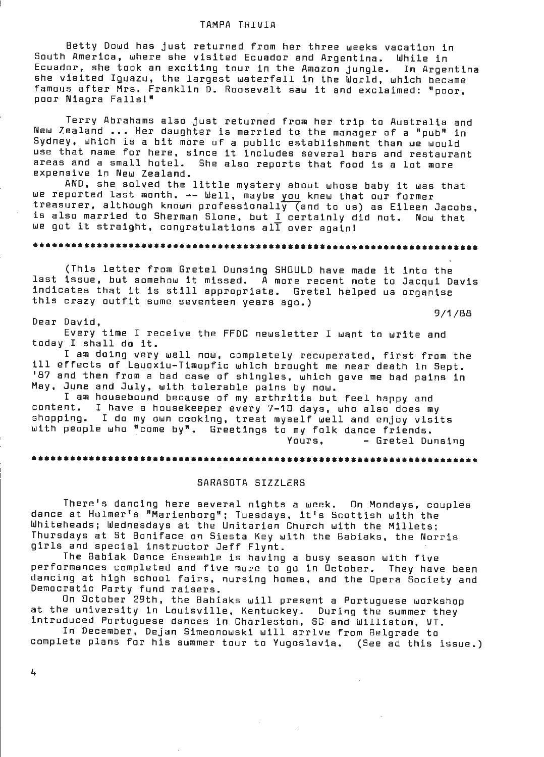#### TAMPA TRIVIA

Betty Dowd has just returned from her three weeks vacation in South America, where she visited Ecuador and Argentina. While in Ecuador, she took an exciting tour in the Amazon jungle. In Argentina she visited Iguazu, the largest waterfall in the World, which became famous after Mrs. Franklin  $\bar{D}$ . Roosevelt saw it and exclaimed: "poor, poor Niagra Falls!"

Terry Abrahams also just returned from her trip to Australia and New Zealand ... Her daughter is married to the manager of a "pub" in Sydney, which is a bit more of a public establishment than we would use that name for here, since it includes several bars and restaurant areas and a small hotel. She also reports that food is a lot more expensive in New Zealand.

AND, she solved the little mystery about whose baby it was that we reported last month. -- Well, maybe you knew that our former treasurer, although known professionally (and to us) as Eileen Jacobs, is also married to Sherman Slone, but I certainly did not. Now that we got it straight, congratulations all over again!

# ••••••••••••••••••••••••••••••••••••••••••••••••••••••••••••••••••••••

(This letter from Gretel Dunsing SHOULD have made it into the last issue, but somehow it missed. A more recent note to Jacqui Davis indicates that it is still appropriate. Gretel helped us organise this crazy outfit some seventeen years ago.)

9/1/88

#### Dear David,

Every time I receive the FFDC newsletter I want to write and today I shall do it.

I am doing very well now, completely recuperated, first from the ill effects of Lauoxiu-Timopfic which brought me near death in Sept. '87 and then from a bad case of shingles, which gave me bad pains in May, June and July, with tolerable pains by now.

I am housebound because of my arthritis but feel happy and<br>content. I have a housekeeper every 7-10 days, who also does me I have a housekeeper every 7-10 days, who also does my shopping. I do my own cooking, treat myself well and enjoy visits with people who "come by". Greetings to my folk dance friends. Yours, - Gretel Dunsing

••••••••••••••••••••••••••••••••••••••••••••••••••••••••••••••••••••••

#### SARASOTA SIZZLERS

There's dancing here several nights a week. On Mondays, couples dance at Holmer's "Marienborg"; Tuesdays, it's Scottish with the Whiteheads; Wednesdays at the Unitarian Church with the Millets; Thursdays at St Boniface on Siesta Key with the Babiaks, the Norris girls and special instructor Jeff Flynt.

The Bablak Dance Ensemble is having a busy season with five performances completed and five more to go in October. They have been dancing at high school fairs, nursing homes, and the Opera Society and Democratic Party fund raisers.

On October 29th, the Babiaks will present a Portuguese workshop at the university in Louisville, Kentuckey. During the summer they introduced Portuguese dances in Charleston, SC and Williston, VT.

In December, Dejan Simeonowski will arrive from Belgrade to complete plans for his summer tour to Yugoslavia. (See ad this issue.)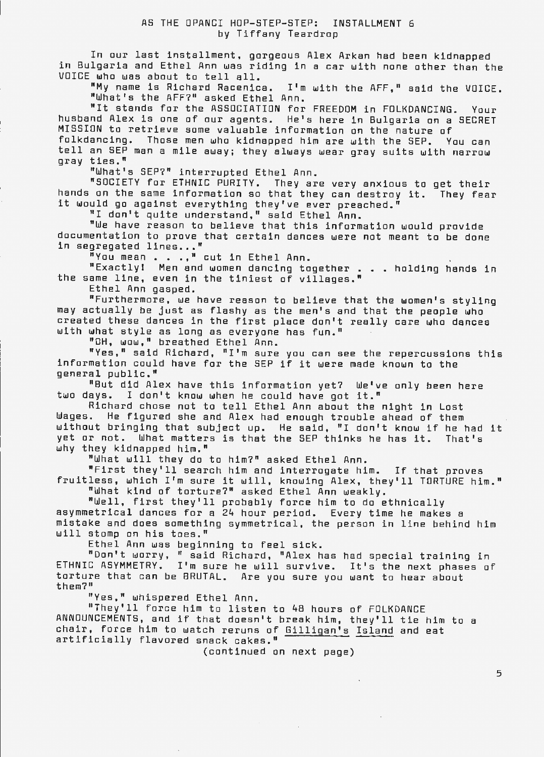In our last installment, gorgeous Alex Arkan had been kidnapped in Bulgaria and Ethel Ann was riding in a car with none other than the VOICE who was about to tell all.

"My name is Richard Racenica. I'm with the AFF," said the VOICE. "What's the AFF?" asked Ethel Ann.

"It stands for the ASSOCIATION for FREEDOM in FOLKDANCING. Your husband Alex is one of our agents. He's here in Bulgaria on a SECRET MISSION to retrieve some valuable information on the nature of folkdancing. Those men who kidnapped him are with the SEP. You can tell an SEP man a mile away; they always wear gray suits with narrow gray ties."

"What's SEP?" interrupted Ethel Ann.

"SOCIETY for ETHNIC PURITY. They are **very** anxious to get their hands on the same information so that they can destroy it. They fear it would go against everything they've ever preached."

"I don't quite understand," said Ethel Ann.

"We have reason to believe that this information would provide documentation to prove that certain dances were not meant to be done in segregated lines..."

"You mean . . .," cut in Ethel Ann.

"Exactly! Men and women dancing together . . holding hands in the same line, even in the tiniest of villages."

Ethel Ann gasped.

"Furthermore, we have reason to believe that the women's styling may actually be just as flashy as the men's and that the people who created these dances in the first place don't really care who dances with what style as long as everyone has fun."

"OH, wow," breathed Ethel Ann.

"Yes," said Richard, "I'm sure you can see the repercussions this information could have for the SEP if it were made known to the general public."

"But did Alex have this information yet? We've only been here two days. I don't know when he could have got it."

Richard chose not to tell Ethel Ann about the night in Lost Wages. He figured she and Alex had enough trouble ahead of them without bringing that subject up. He said, "I don't know if he had it yet or not. What matters is that the SEP thinks he has it. That's why they kidnapped him."

"What will they do to him?" asked Ethel Ann.

"First they'll search him and interrogate him. If that proves fruitless, which I'm sure it will, knowing Alex, they'll TORTURE him."

"What kind of torture?" asked Ethel Ann weakly.

"Well, first they'll probably force him to do ethnically asymmetrical dances for a 24 hour period. Every time he makes a mistake and does something symmetrical, the person in line behind him will stomp on his toes."

Ethel Ann was beginning to feel sick.

"Don't worry, "said Richard, "Alex has had special training in ETHNIC ASYMMETRY. I'm sure he will survive. It's the ne xt phases of torture that can be BRUTAL. Are you sure you want to hear about them?"

"Yes," whispered Ethel Ann.

"They'll force him to listen to 48 hours of FOLKDANCE ANNOUNCEMENTS, and if that doesn't break him, they'll tie him to a chair, force him to watch reruns of Gilligan's Island and eat artificially flavored snack cakes."

(continued on next page)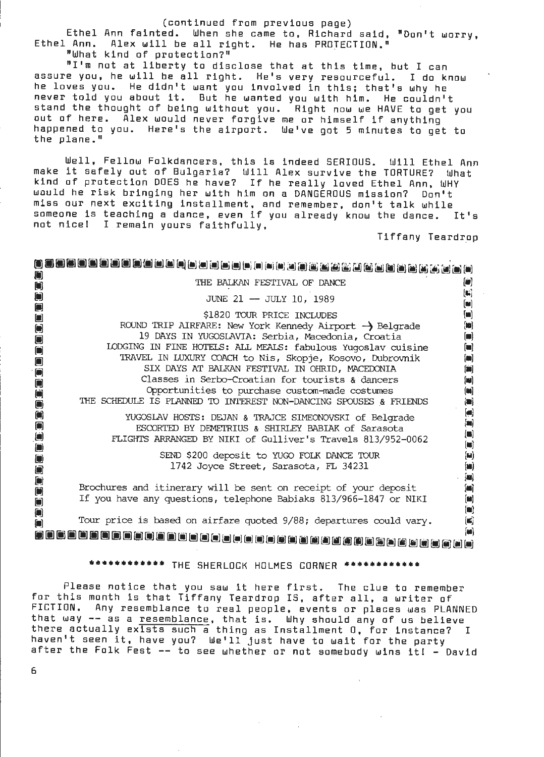#### (continued from previous page)

Ethel Ann fainted. When she came to, Richard said, "Don't worry,<br>Ethel Ann. Alex will be all right. He has PROTECIION." Alex will be all right. He has PROTECTION." "What kind of protection?"

"I'm not at liberty to disclose that at this time, but I can assure you, he will be all right. He's very resourceful. I do know he loves you. He didn't want you involved in this; that's why he never told you about it. But he wanted you with him. He couldn't stand the thought of being without you. Right now we HAVE to get you out of here. Alex would never forgive me or himself if anything happened to you. Here's the airport. We've got 5 minutes to get to the plane."

Well, Fellow Folkdancers, this is indeed SERIOUS. Will Ethel Ann make it safely out of Bulgaria? Will Alex survive the TORTURE? What kind of protection DOES he have? If he really loved Ethel Ann, WHY would he risk bringing her with him on a DANGEROUS mission? Don't miss our next exciting installment, and remember, don't talk while someone ls teaching a dance, even if you already know the dance. It's not nice! I remain yours faithfully,

Tiffany Teardr\_op

| $\blacksquare$                                                       | THE BALKAN FESTIVAL OF DANCE                                                                                                                                                  | $\left[ \bullet \right]$                                                                                                        |  |  |  |
|----------------------------------------------------------------------|-------------------------------------------------------------------------------------------------------------------------------------------------------------------------------|---------------------------------------------------------------------------------------------------------------------------------|--|--|--|
| $\blacksquare$                                                       | JUNE 21 - JULY 10, 1989                                                                                                                                                       | $\left(\mathbf{K}\right)$<br>$\left(\blacksquare\right)$                                                                        |  |  |  |
| $\blacksquare$<br>$\begin{array}{c} \square \end{array}$             | \$1820 TOUR PRICE INCLUDES                                                                                                                                                    | $\blacksquare$                                                                                                                  |  |  |  |
| $\begin{bmatrix} \blacksquare \\ \blacksquare \end{bmatrix}$         | ROUND TRIP AIRFARE: New York Kennedy Airport ->> Belgrade                                                                                                                     | [10]                                                                                                                            |  |  |  |
| 0<br>$\left[\rule{0pt}{10pt}\right]$                                 | 19 DAYS IN YUGOSLAVIA: Serbia, Macedonia, Croatia<br>LODGING IN FINE HOTELS: ALL MEALS: fabulous Yugoslav cuisine<br>TRAVEL IN LUXURY COACH to Nis, Skopje, Kosovo, Dubrovnik | $\blacksquare$<br>$\blacksquare$<br>$\blacksquare$                                                                              |  |  |  |
| 0<br>$\Box$                                                          | SIX DAYS AT BALKAN FESTIVAL IN OHRID, MACEDONIA<br>Classes in Serbo-Croatian for tourists & dancers                                                                           | $\left[\begin{matrix}\ddot{\phantom{a}}\end{matrix}\right]$<br>$[\blacksquare]$                                                 |  |  |  |
| 0000                                                                 | Opportunities to purchase custom-made costumes<br>THE SCHEDULE IS PLANNED TO INTEREST NON-DANCING SPOUSES & FRIENDS                                                           | $(\blacksquare)$<br>$\qquad \qquad \textbf{(a)}$                                                                                |  |  |  |
| $\begin{bmatrix} \blacksquare \end{bmatrix}$                         | YUGOSLAV HOSTS: DEJAN & TRAJCE SIMEONOVSKI of Belgrade<br>ESCORTED BY DEMETRIUS & SHIRLEY BABIAK of Sarasota<br>FLIGHTS ARRANGED BY NIKI of Gulliver's Travels 813/952-0062   | $\left[ \blacksquare \right]$<br>$\left[ \blacksquare \right]$<br>$\left(\blacksquare\right)$<br>$[{\color{red} \blacksquare}]$ |  |  |  |
| $\Box$<br>$\Box$                                                     | SEND \$200 deposit to YUGO FOLK DANCE TOUR<br>1742 Joyce Street, Sarasota, FL 34231                                                                                           | $\left( \mathbf{M}\right)$<br>$[\mathbf{m}]$<br>$\begin{bmatrix} \mathbf{u} \end{bmatrix}$                                      |  |  |  |
| $\Box$<br>$\begin{bmatrix} \blacksquare \end{bmatrix}$<br>Ő          | Brochures and itinerary will be sent on receipt of your deposit<br>If you have any questions, telephone Babiaks 813/966-1847 or NIKI                                          | $[\blacksquare]$<br>$\begin{bmatrix} \blacksquare \end{bmatrix}$                                                                |  |  |  |
| $\Box$<br>$\blacksquare$                                             | Tour price is based on airfare quoted 9/88; departures could vary.                                                                                                            | $\left[ \blacksquare \right]$<br>$(\blacksquare)$                                                                               |  |  |  |
| $\left[ \blacksquare \right]$<br>最后自由自由自由自由自由自由自由自由自由自由的也也相当自由自由自由自由 |                                                                                                                                                                               |                                                                                                                                 |  |  |  |
|                                                                      | ********** THE SHERLOCK HOLMES CORNER                                                                                                                                         |                                                                                                                                 |  |  |  |

Please notice that you saw it here first. The clue to remember for this month is that Tiffany Teardrop IS, after all, a writer of FICTION. Any resemblance to real people, events or places was PLANNED that way -- as a resemblance, that is. Why should any of us believe there actually exists such a thing as Installment 0, for instance? I haven't seen it, have you? We'll just have to wait for the party after the Folk Fest -- to see whether or not somebody wins it! - David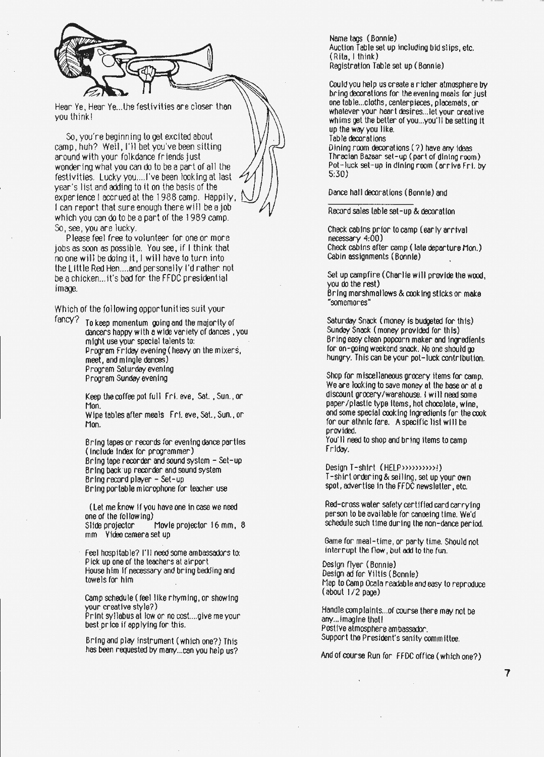

Hear Ye, Hear Ye...the festivities are closer than you think!

So, you're beginning to get excited about camp, huh? Well, I'll bet you've been sitting around with your folkdance friends just wondering what you can do to be a part of all the festivities. Lucky you.... I've been looking at last year's list and adding to it on the basis of the experience I accrued at the 1988 camp. Happily, I can report that sure enough there will be a job which you can **do** to be a part of the 1989 camp. So, see, you are lucky.

Please feel free to volunteer for one or more jobs as soon as possible. You see, if I think that no one will be doing it, I **will** have to turn into the Little Red Hen....and personally I'd rather not be a chicken ... it's boo for the FFDC presidential **image.** 

Which of the following opportunities suit your

fancy? To keep momentum going and the majority of dancers happy w1th **a wioo** variety of dances , you might use your special talents to: Program Friday evening ( heavy on the mixers, meet, and mingle dances) Program Saturday evening Program Sunday evening

> Keep the coffee pot full Fri. eve, Sat. , Sun., or Mon.

> Wipe tables after meals Fr1. eve, Sat., Sun., or Mon.

Bring tapes or records for evening dance parties (include index for programmer) Bring tape recorder and sound system  $-$  Set-up Bring back up recorder and sound system Bring record player - Set-up Bring portable microphone for teacher use

( Let me know 1f you have one 1n case we need one of the follow tng)

Slide projector Movie projector 16 mm, 8 mm Video camera set up

Feel hospitable? I'll need some ambassadors to: P tck up one of the teachers at airport House him tf necessary and bring bedilng and towels for him

camp schedule ( feel like rhyming, or showing your creative style?)

Print syllabus at low or no cost....give me your<br>best price if applying for this.

Bring and play Instrument ( which one?) This has been requested by many ... can you help us? Name tags ( Bonnie) Auction Table set up including bid slips, etc. (Rita, I think) Registration Table set up (Bonnie)

Could you help us create a richer atmosphere by bring decorations for the evening meals for just one table ... cloths, centerpieces, placemats, or whatever your heart desires ... let your creative whims **get** the better of you ... you'll be setting tt up the way you like. Table decorations

Dining room decorations (?) have any ideas Thracian Bazaar set-up ( part of dining room) Pot-luck set-up in dining room (arrive Fri. by 5:30)

Dance hall decorations (Bonnie) and

Record sales table set-up & decoration

Check cabins pr tor to camp (early arrival  $necessary 4:00$ ) Check cabins after camp (late departure Mon.) cabin assignments ( Bonnie) .

Set up campfire (Charlie will provide the wood, you do the rest) Bring marshmallows & cooking sticks or make "somemores"

Saturday Snack (money is budgeted for this) Sunday Snack (money provided for this) Bring easy clean popcorn maker and Ingredients for on-going weekend snack. No one should go hungry. This can be your pot-luck contribution.

Shop for miscellaneous grocery ttems for camp. We are looking to save money at the base or at a discount grocery/warehouse. I will need some paper/plastic type Items, hot chocolate, **wine,**  and some special cook Ing Ingredients for the cook for our ethnic fare. A specific list will be provided.

You· II need to shop and brtng Items to camp Friday.

Design T-shirt ( HELP»>»»»>!) T-shirt orooring & selltng, set up your own spot, advertise in the FFDC newsletter, etc.

Red-cross water safety cert1fted card carrying person to be available for canoeing time. We'd schedule such time during the non-dance period.

Game for meal-time, or party time. Should not interrupt the flow, but add to the fun.

Design flyer ( Bonnie) Design ad for Viltis (Bonnie) Map to camp Ocala readable and easy to reproduce ( about I / 2 page)

Handle complalnts ... of course there may not be any... Imagine that ! Postive atmosphere ambassador. Support the President's sanity committee.

And of course Run for FFDC office ( which one?)